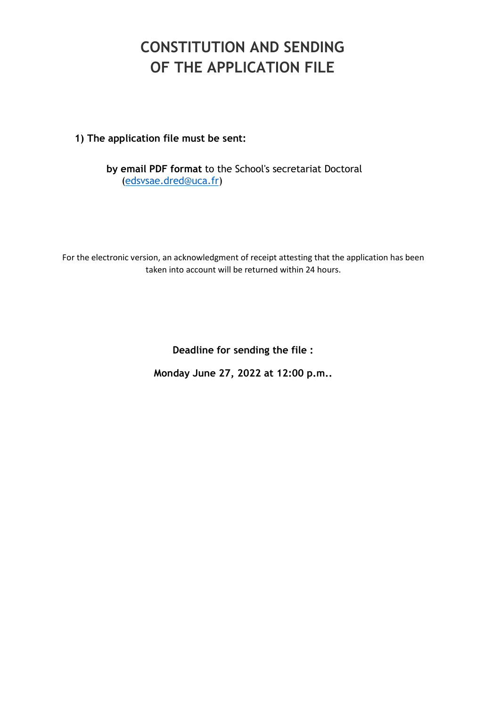# CONSTITUTION AND SENDING OF THE APPLICATION FILE

1) The application file must be sent:

by email PDF format to the School's secretariat Doctoral (edsvsae.dred@uca.fr)

For the electronic version, an acknowledgment of receipt attesting that the application has been taken into account will be returned within 24 hours.

Deadline for sending the file :

Monday June 27, 2022 at 12:00 p.m..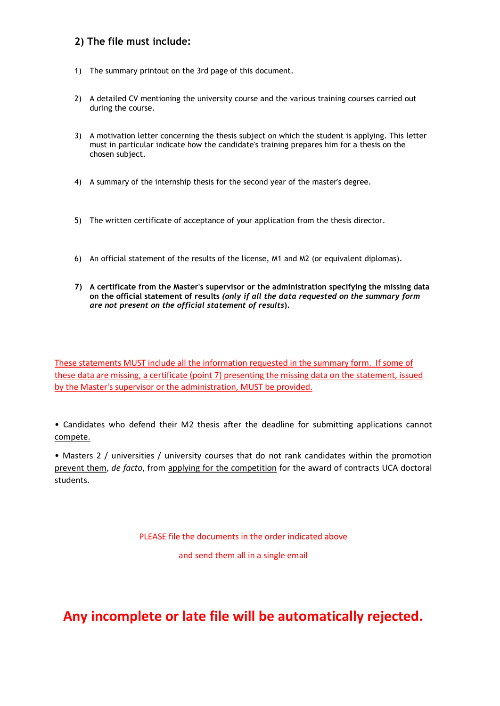## 2) The file must include:

- 1) The summary printout on the 3rd page of this document.
- 2) A detailed CV mentioning the university course and the various training courses carried out during the course.
- 3) A motivation letter concerning the thesis subject on which the student is applying. This letter must in particular indicate how the candidate's training prepares him for a thesis on the chosen subject.
- 4) A summary of the internship thesis for the second year of the master's degree.
- 5) The written certificate of acceptance of your application from the thesis director.
- 6) An official statement of the results of the license, M1 and M2 (or equivalent diplomas).
- 7) A certificate from the Master's supervisor or the administration specifying the missing data on the official statement of results (only if all the data requested on the summary form are not present on the official statement of results).

These statements MUST include all the information requested in the summary form. If some of these data are missing, a certificate (point 7) presenting the missing data on the statement, issued by the Master's supervisor or the administration, MUST be provided.

• Candidates who defend their M2 thesis after the deadline for submitting applications cannot compete.

• Masters 2 / universities / university courses that do not rank candidates within the promotion prevent them, de facto, from applying for the competition for the award of contracts UCA doctoral students.

PLEASE file the documents in the order indicated above

and send them all in a single email

Any incomplete or late file will be automatically rejected.